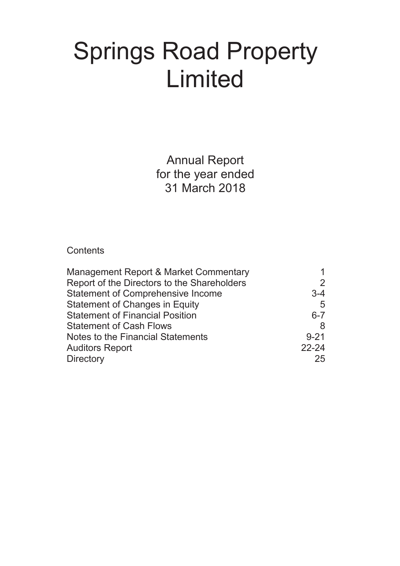# Springs Road Property Limited

Annual Report for the year ended 31 March 2018

## **Contents**

| Management Report & Market Commentary       |           |
|---------------------------------------------|-----------|
| Report of the Directors to the Shareholders |           |
| <b>Statement of Comprehensive Income</b>    | $3 - 4$   |
| <b>Statement of Changes in Equity</b>       | -5        |
| <b>Statement of Financial Position</b>      | $6 - 7$   |
| <b>Statement of Cash Flows</b>              |           |
| Notes to the Financial Statements           | $9 - 21$  |
| <b>Auditors Report</b>                      | $22 - 24$ |
| <b>Directory</b>                            | 25        |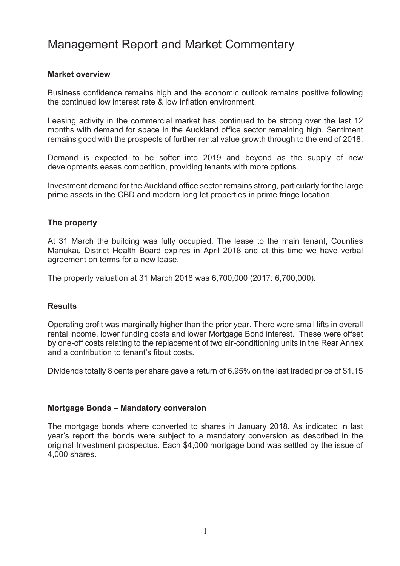# Management Report and Market Commentary

#### **Market overview**

Business confidence remains high and the economic outlook remains positive following the continued low interest rate & low inflation environment.

Leasing activity in the commercial market has continued to be strong over the last 12 months with demand for space in the Auckland office sector remaining high. Sentiment remains good with the prospects of further rental value growth through to the end of 2018.

Demand is expected to be softer into 2019 and beyond as the supply of new developments eases competition, providing tenants with more options.

Investment demand for the Auckland office sector remains strong, particularly for the large prime assets in the CBD and modern long let properties in prime fringe location.

#### **The property**

At 31 March the building was fully occupied. The lease to the main tenant, Counties Manukau District Health Board expires in April 2018 and at this time we have verbal agreement on terms for a new lease.

The property valuation at 31 March 2018 was 6,700,000 (2017: 6,700,000).

### **Results**

Operating profit was marginally higher than the prior year. There were small lifts in overall rental income, lower funding costs and lower Mortgage Bond interest. These were offset by one-off costs relating to the replacement of two air-conditioning units in the Rear Annex and a contribution to tenant's fitout costs.

Dividends totally 8 cents per share gave a return of 6.95% on the last traded price of \$1.15

#### **Mortgage Bonds – Mandatory conversion**

The mortgage bonds where converted to shares in January 2018. As indicated in last year's report the bonds were subject to a mandatory conversion as described in the original Investment prospectus. Each \$4,000 mortgage bond was settled by the issue of 4,000 shares.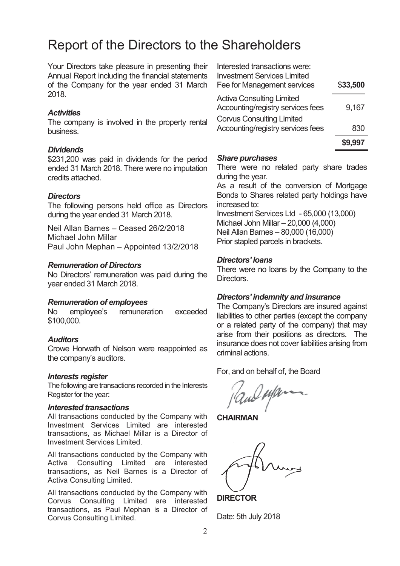# Report of the Directors to the Shareholders

Your Directors take pleasure in presenting their Annual Report including the financial statements of the Company for the year ended 31 March 2018.

#### *Activities*

The company is involved in the property rental business.

#### *Dividends*

\$231,200 was paid in dividends for the period ended 31 March 2018. There were no imputation credits attached.

#### *Directors*

The following persons held office as Directors during the year ended 31 March 2018.

Neil Allan Barnes – Ceased 26/2/2018 Michael John Millar Paul John Mephan – Appointed 13/2/2018

#### *Remuneration of Directors*

No Directors' remuneration was paid during the year ended 31 March 2018.

#### *Remuneration of employees*

No employee's remuneration exceeded \$100,000.

#### *Auditors*

Crowe Horwath of Nelson were reappointed as the company's auditors.

#### *Interests register*

The following are transactions recorded in the Interests Register for the year:

#### *Interested transactions*

All transactions conducted by the Company with Investment Services Limited are interested transactions, as Michael Millar is a Director of Investment Services Limited.

All transactions conducted by the Company with Activa Consulting Limited are interested transactions, as Neil Barnes is a Director of Activa Consulting Limited.

All transactions conducted by the Company with Corvus Consulting Limited are interested transactions, as Paul Mephan is a Director of Corvus Consulting Limited.

| <b>Corvus Consulting Limited</b><br>Accounting/registry services fees                              | 830      |
|----------------------------------------------------------------------------------------------------|----------|
| <b>Activa Consulting Limited</b><br>Accounting/registry services fees                              | 9,167    |
| Interested transactions were:<br><b>Investment Services Limited</b><br>Fee for Management services | \$33,500 |

#### *Share purchases*

There were no related party share trades during the year.

As a result of the conversion of Mortgage Bonds to Shares related party holdings have increased to: Investment Services Ltd - 65,000 (13,000) Michael John Millar – 20,000 (4,000) Neil Allan Barnes – 80,000 (16,000) Prior stapled parcels in brackets.

#### *Directors' loans*

There were no loans by the Company to the Directors.

#### *Directors' indemnity and insurance*

The Company's Directors are insured against liabilities to other parties (except the company or a related party of the company) that may arise from their positions as directors. The insurance does not cover liabilities arising from criminal actions.

For, and on behalf of, the Board

**CHAIRMAN** 

**DIRECTOR** 

Date: 5th July 2018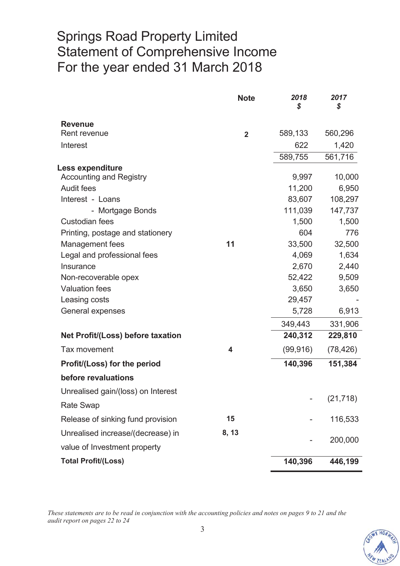# Springs Road Property Limited Statement of Comprehensive Income For the year ended 31 March 2018

|                                           | <b>Note</b>    | 2018<br>\$        | 2017<br>\$         |
|-------------------------------------------|----------------|-------------------|--------------------|
| <b>Revenue</b>                            |                |                   |                    |
| Rent revenue                              | $\overline{2}$ | 589,133           | 560,296            |
| Interest                                  |                | 622               | 1,420              |
|                                           |                | 589,755           | 561,716            |
| <b>Less expenditure</b>                   |                |                   |                    |
| <b>Accounting and Registry</b>            |                | 9,997             | 10,000             |
| <b>Audit fees</b>                         |                | 11,200            | 6,950              |
| Interest - Loans                          |                | 83,607<br>111,039 | 108,297<br>147,737 |
| - Mortgage Bonds<br><b>Custodian fees</b> |                | 1,500             | 1,500              |
| Printing, postage and stationery          |                | 604               | 776                |
| Management fees                           | 11             | 33,500            | 32,500             |
| Legal and professional fees               |                | 4,069             | 1,634              |
| Insurance                                 |                | 2,670             | 2,440              |
| Non-recoverable opex                      |                | 52,422            | 9,509              |
| <b>Valuation fees</b>                     |                | 3,650             | 3,650              |
| Leasing costs                             |                | 29,457            |                    |
| General expenses                          |                | 5,728             | 6,913              |
|                                           |                | 349,443           | 331,906            |
| Net Profit/(Loss) before taxation         |                | 240,312           | 229,810            |
| Tax movement                              | 4              | (99, 916)         | (78, 426)          |
| Profit/(Loss) for the period              |                | 140,396           | 151,384            |
| before revaluations                       |                |                   |                    |
| Unrealised gain/(loss) on Interest        |                |                   |                    |
| <b>Rate Swap</b>                          |                |                   | (21, 718)          |
| Release of sinking fund provision         | 15             |                   | 116,533            |
| Unrealised increase/(decrease) in         | 8, 13          |                   |                    |
| value of Investment property              |                |                   | 200,000            |
| <b>Total Profit/(Loss)</b>                |                | 140,396           | 446,199            |

*These statements are to be read in conjunction with the accounting policies and notes on pages 9 to 21 and the audit report on pages 22 to 24*

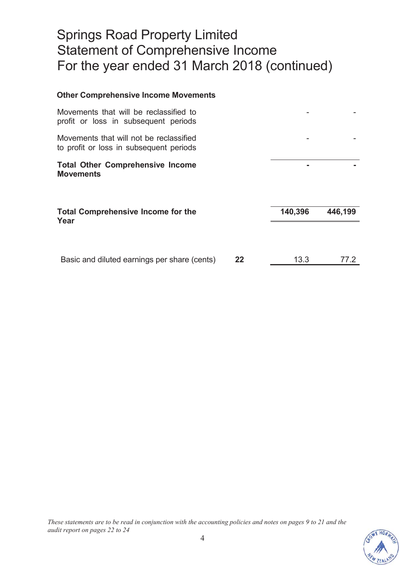# Springs Road Property Limited Statement of Comprehensive Income For the year ended 31 March 2018 (continued)

### **Other Comprehensive Income Movements**

| Movements that will be reclassified to<br>profit or loss in subsequent periods     |    |         |         |
|------------------------------------------------------------------------------------|----|---------|---------|
| Movements that will not be reclassified<br>to profit or loss in subsequent periods |    |         |         |
| <b>Total Other Comprehensive Income</b><br><b>Movements</b>                        |    |         |         |
| <b>Total Comprehensive Income for the</b><br>Year                                  |    | 140,396 | 446,199 |
| Basic and diluted earnings per share (cents)                                       | 22 | 13.3    | 77.2    |

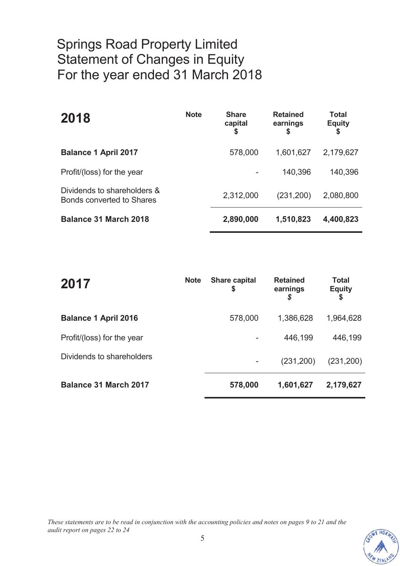# Springs Road Property Limited Statement of Changes in Equity For the year ended 31 March 2018

| 2018                                                     | <b>Note</b> | <b>Share</b><br>capital<br>\$ | <b>Retained</b><br>earnings<br>S | <b>Total</b><br><b>Equity</b><br>S |
|----------------------------------------------------------|-------------|-------------------------------|----------------------------------|------------------------------------|
| <b>Balance 1 April 2017</b>                              |             | 578,000                       | 1,601,627                        | 2,179,627                          |
| Profit/(loss) for the year                               |             |                               | 140,396                          | 140,396                            |
| Dividends to shareholders &<br>Bonds converted to Shares |             | 2,312,000                     | (231, 200)                       | 2,080,800                          |
| <b>Balance 31 March 2018</b>                             |             | 2,890,000                     | 1,510,823                        | 4,400,823                          |

| 2017                         | <b>Note</b> | <b>Share capital</b><br>\$ | <b>Retained</b><br>earnings<br>\$ | <b>Total</b><br><b>Equity</b><br>S |
|------------------------------|-------------|----------------------------|-----------------------------------|------------------------------------|
| <b>Balance 1 April 2016</b>  |             | 578,000                    | 1,386,628                         | 1,964,628                          |
| Profit/(loss) for the year   |             | -                          | 446,199                           | 446,199                            |
| Dividends to shareholders    |             | $\overline{\phantom{0}}$   | (231, 200)                        | (231, 200)                         |
| <b>Balance 31 March 2017</b> |             | 578,000                    | 1,601,627                         | 2,179,627                          |

*These statements are to be read in conjunction with the accounting policies and notes on pages 9 to 21 and the audit report on pages 22 to 24*

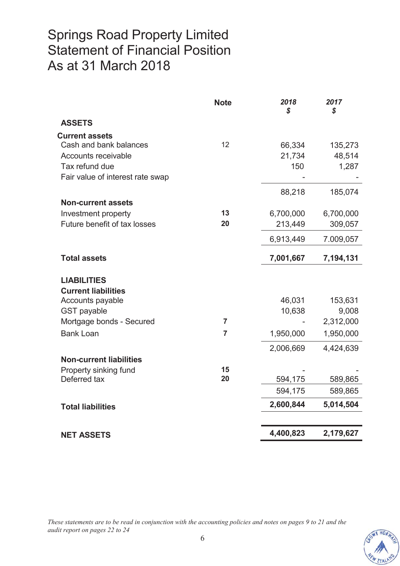# Springs Road Property Limited Statement of Financial Position As at 31 March 2018

|                                  | <b>Note</b>    | 2018<br>\$ | 2017<br>S |
|----------------------------------|----------------|------------|-----------|
| <b>ASSETS</b>                    |                |            |           |
| <b>Current assets</b>            |                |            |           |
| Cash and bank balances           | 12             | 66,334     | 135,273   |
| <b>Accounts receivable</b>       |                | 21,734     | 48,514    |
| Tax refund due                   |                | 150        | 1,287     |
| Fair value of interest rate swap |                |            |           |
|                                  |                | 88,218     | 185,074   |
| <b>Non-current assets</b>        |                |            |           |
| Investment property              | 13             | 6,700,000  | 6,700,000 |
| Future benefit of tax losses     | 20             | 213,449    | 309,057   |
|                                  |                | 6,913,449  | 7.009,057 |
| <b>Total assets</b>              |                | 7,001,667  | 7,194,131 |
| <b>LIABILITIES</b>               |                |            |           |
| <b>Current liabilities</b>       |                |            |           |
| Accounts payable                 |                | 46,031     | 153,631   |
| <b>GST</b> payable               |                | 10,638     | 9,008     |
| Mortgage bonds - Secured         | $\overline{7}$ |            | 2,312,000 |
| <b>Bank Loan</b>                 | $\overline{7}$ | 1,950,000  | 1,950,000 |
|                                  |                | 2,006,669  | 4,424,639 |
| <b>Non-current liabilities</b>   |                |            |           |
| Property sinking fund            | 15             |            |           |
| Deferred tax                     | 20             | 594,175    | 589,865   |
|                                  |                | 594,175    | 589,865   |
| <b>Total liabilities</b>         |                | 2,600,844  | 5,014,504 |
| <b>NET ASSETS</b>                |                | 4,400,823  | 2,179,627 |
|                                  |                |            |           |

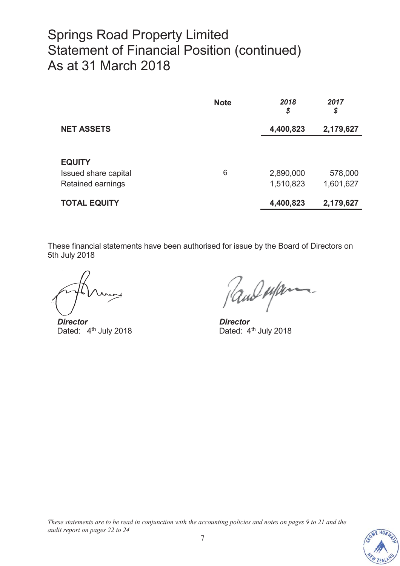# Springs Road Property Limited Statement of Financial Position (continued) As at 31 March 2018

|                             | <b>Note</b> | 2018<br>\$ | 2017<br>\$ |
|-----------------------------|-------------|------------|------------|
| <b>NET ASSETS</b>           |             | 4,400,823  | 2,179,627  |
|                             |             |            |            |
| <b>EQUITY</b>               |             |            |            |
| <b>Issued share capital</b> | 6           | 2,890,000  | 578,000    |
| Retained earnings           |             | 1,510,823  | 1,601,627  |
| <b>TOTAL EQUITY</b>         |             | 4,400,823  | 2,179,627  |

These financial statements have been authorised for issue by the Board of Directors on 5th July 2018

 *Director Director*  Dated:  $4<sup>th</sup>$  July 2018 Dated:  $4<sup>th</sup>$  July 2018

Paul Man  $\ddot{\phantom{0}}$ 

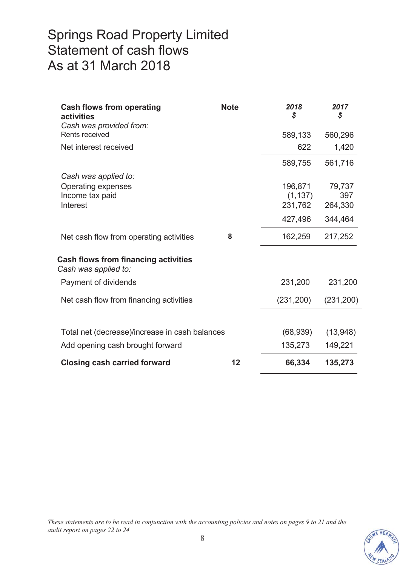# Springs Road Property Limited Statement of cash flows As at 31 March 2018

| <b>Cash flows from operating</b><br>activities<br>Cash was provided from: | <b>Note</b> | 2018<br>\$ | 2017<br>\$ |
|---------------------------------------------------------------------------|-------------|------------|------------|
| <b>Rents received</b>                                                     |             | 589,133    | 560,296    |
| Net interest received                                                     |             | 622        | 1,420      |
|                                                                           |             | 589,755    | 561,716    |
| Cash was applied to:                                                      |             |            |            |
| <b>Operating expenses</b>                                                 |             | 196,871    | 79,737     |
| Income tax paid                                                           |             | (1, 137)   | 397        |
| Interest                                                                  |             | 231,762    | 264,330    |
|                                                                           |             | 427,496    | 344,464    |
| Net cash flow from operating activities                                   | 8           | 162,259    | 217,252    |
| <b>Cash flows from financing activities</b><br>Cash was applied to:       |             |            |            |
| Payment of dividends                                                      |             | 231,200    | 231,200    |
| Net cash flow from financing activities                                   |             | (231, 200) | (231, 200) |
|                                                                           |             |            |            |
| Total net (decrease)/increase in cash balances                            |             | (68, 939)  | (13,948)   |
| Add opening cash brought forward                                          |             | 135,273    | 149,221    |
| <b>Closing cash carried forward</b>                                       | 12          | 66,334     | 135,273    |

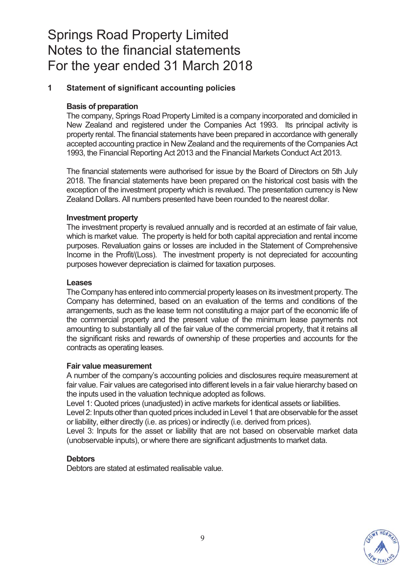# Springs Road Property Limited Notes to the financial statements For the year ended 31 March 2018

### **1 Statement of significant accounting policies**

### **Basis of preparation**

The company, Springs Road Property Limited is a company incorporated and domiciled in New Zealand and registered under the Companies Act 1993. Its principal activity is property rental. The financial statements have been prepared in accordance with generally accepted accounting practice in New Zealand and the requirements of the Companies Act 1993, the Financial Reporting Act 2013 and the Financial Markets Conduct Act 2013.

The financial statements were authorised for issue by the Board of Directors on 5th July 2018. The financial statements have been prepared on the historical cost basis with the exception of the investment property which is revalued. The presentation currency is New Zealand Dollars. All numbers presented have been rounded to the nearest dollar.

### **Investment property**

The investment property is revalued annually and is recorded at an estimate of fair value, which is market value. The property is held for both capital appreciation and rental income purposes. Revaluation gains or losses are included in the Statement of Comprehensive Income in the Profit/(Loss). The investment property is not depreciated for accounting purposes however depreciation is claimed for taxation purposes.

### **Leases**

The Company has entered into commercial property leases on its investment property. The Company has determined, based on an evaluation of the terms and conditions of the arrangements, such as the lease term not constituting a major part of the economic life of the commercial property and the present value of the minimum lease payments not amounting to substantially all of the fair value of the commercial property, that it retains all the significant risks and rewards of ownership of these properties and accounts for the contracts as operating leases.

### **Fair value measurement**

A number of the company's accounting policies and disclosures require measurement at fair value. Fair values are categorised into different levels in a fair value hierarchy based on the inputs used in the valuation technique adopted as follows.

Level 1: Quoted prices (unadjusted) in active markets for identical assets or liabilities.

Level 2: Inputs other than quoted prices included in Level 1 that are observable for the asset or liability, either directly (i.e. as prices) or indirectly (i.e. derived from prices).

Level 3: Inputs for the asset or liability that are not based on observable market data (unobservable inputs), or where there are significant adjustments to market data.

### **Debtors**

Debtors are stated at estimated realisable value.

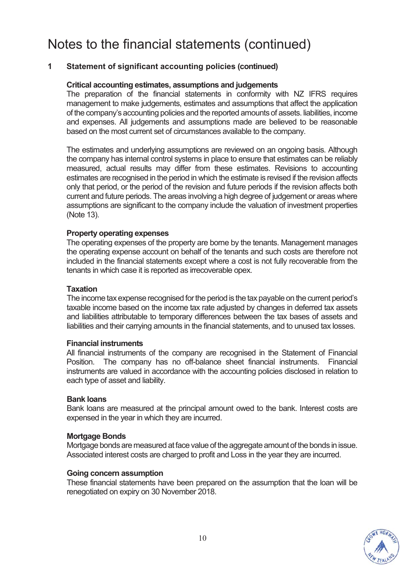### **1 Statement of significant accounting policies (continued)**

### **Critical accounting estimates, assumptions and judgements**

The preparation of the financial statements in conformity with NZ IFRS requires management to make judgements, estimates and assumptions that affect the application of the company's accounting policies and the reported amounts of assets. liabilities, income and expenses. All judgements and assumptions made are believed to be reasonable based on the most current set of circumstances available to the company.

The estimates and underlying assumptions are reviewed on an ongoing basis. Although the company has internal control systems in place to ensure that estimates can be reliably measured, actual results may differ from these estimates. Revisions to accounting estimates are recognised in the period in which the estimate is revised if the revision affects only that period, or the period of the revision and future periods if the revision affects both current and future periods. The areas involving a high degree of judgement or areas where assumptions are significant to the company include the valuation of investment properties (Note 13).

### **Property operating expenses**

The operating expenses of the property are borne by the tenants. Management manages the operating expense account on behalf of the tenants and such costs are therefore not included in the financial statements except where a cost is not fully recoverable from the tenants in which case it is reported as irrecoverable opex.

### **Taxation**

The income tax expense recognised for the period is the tax payable on the current period's taxable income based on the income tax rate adjusted by changes in deferred tax assets and liabilities attributable to temporary differences between the tax bases of assets and liabilities and their carrying amounts in the financial statements, and to unused tax losses.

### **Financial instruments**

All financial instruments of the company are recognised in the Statement of Financial Position. The company has no off-balance sheet financial instruments. Financial instruments are valued in accordance with the accounting policies disclosed in relation to each type of asset and liability.

### **Bank loans**

 Bank loans are measured at the principal amount owed to the bank. Interest costs are expensed in the year in which they are incurred.

### **Mortgage Bonds**

 Mortgage bonds are measured at face value of the aggregate amount of the bonds in issue. Associated interest costs are charged to profit and Loss in the year they are incurred.

#### **Going concern assumption**

 These financial statements have been prepared on the assumption that the loan will be renegotiated on expiry on 30 November 2018.

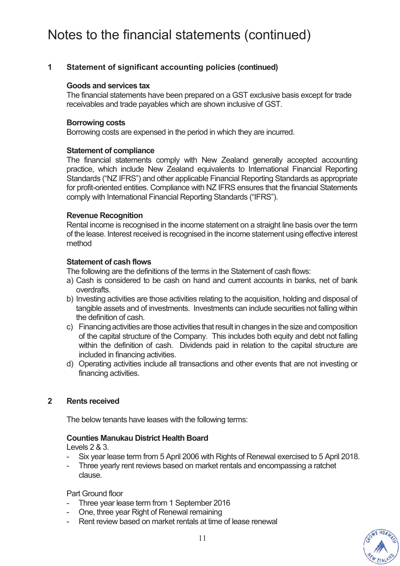### **1 Statement of significant accounting policies (continued)**

#### **Goods and services tax**

The financial statements have been prepared on a GST exclusive basis except for trade receivables and trade payables which are shown inclusive of GST.

#### **Borrowing costs**

Borrowing costs are expensed in the period in which they are incurred.

### **Statement of compliance**

The financial statements comply with New Zealand generally accepted accounting practice, which include New Zealand equivalents to International Financial Reporting Standards ("NZ IFRS") and other applicable Financial Reporting Standards as appropriate for profit-oriented entities. Compliance with NZ IFRS ensures that the financial Statements comply with International Financial Reporting Standards ("IFRS").

#### **Revenue Recognition**

Rental income is recognised in the income statement on a straight line basis over the term of the lease. Interest received is recognised in the income statement using effective interest method

#### **Statement of cash flows**

The following are the definitions of the terms in the Statement of cash flows:

- a) Cash is considered to be cash on hand and current accounts in banks, net of bank overdrafts.
- b) Investing activities are those activities relating to the acquisition, holding and disposal of tangible assets and of investments. Investments can include securities not falling within the definition of cash.
- c) Financing activities are those activities that result in changes in the size and composition of the capital structure of the Company. This includes both equity and debt not falling within the definition of cash. Dividends paid in relation to the capital structure are included in financing activities.
- d) Operating activities include all transactions and other events that are not investing or financing activities.

### **2 Rents received**

The below tenants have leases with the following terms:

### **Counties Manukau District Health Board**

Levels  $2 & 3$ .

- Six year lease term from 5 April 2006 with Rights of Renewal exercised to 5 April 2018.
- Three yearly rent reviews based on market rentals and encompassing a ratchet clause.

Part Ground floor

- Three year lease term from 1 September 2016
- One, three year Right of Renewal remaining
- Rent review based on market rentals at time of lease renewal

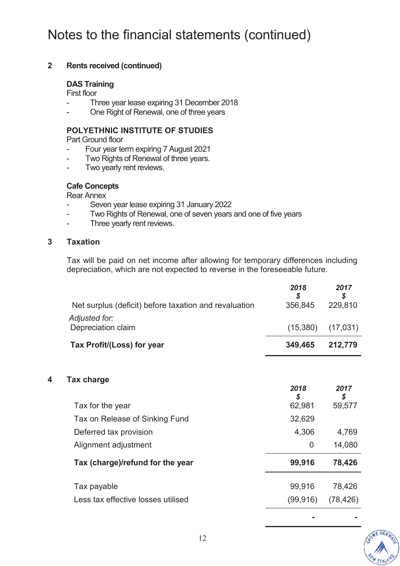### **2 Rents received (continued)**

### **DAS Training**

First floor

- Three year lease expiring 31 December 2018
- One Right of Renewal, one of three years

### **POLYETHNIC INSTITUTE OF STUDIES**

Part Ground floor

- Four year term expiring 7 August 2021
- Two Rights of Renewal of three years.
- Two yearly rent reviews.

### **Cafe Concepts**

Rear Annex

- Seven year lease expiring 31 January 2022
- Two Rights of Renewal, one of seven years and one of five years
- Three yearly rent reviews.

### **3 Taxation**

 Tax will be paid on net income after allowing for temporary differences including depreciation, which are not expected to reverse in the foreseeable future.

| Net surplus (deficit) before taxation and revaluation | 2018<br>S<br>356,845  | 2017<br>S<br>229,810 |
|-------------------------------------------------------|-----------------------|----------------------|
| Adjusted for:<br>Depreciation claim                   | $(15,380)$ $(17,031)$ |                      |
| Tax Profit/(Loss) for year                            | 349,465               | 212,779              |

### **4 Tax charge**

|                                    | 2018<br>\$ | 2017<br>\$ |
|------------------------------------|------------|------------|
| Tax for the year                   | 62,981     | 59,577     |
| Tax on Release of Sinking Fund     | 32,629     |            |
| Deferred tax provision             | 4,306      | 4,769      |
| Alignment adjustment               | 0          | 14,080     |
| Tax (charge)/refund for the year   | 99,916     | 78,426     |
| Tax payable                        | 99,916     | 78,426     |
| Less tax effective losses utilised | (99,916)   | (78,426)   |

**- -**

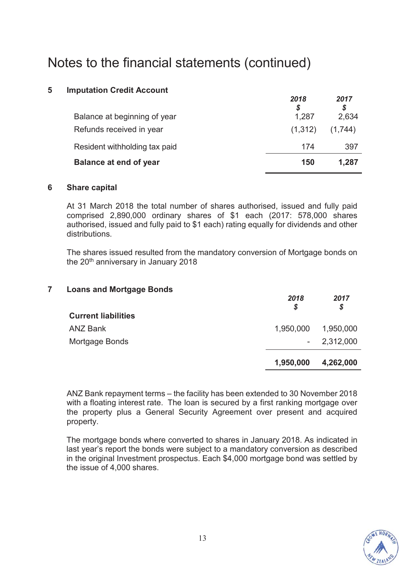### **5 Imputation Credit Account**

|                               | 2018<br>\$ | 2017<br>S |
|-------------------------------|------------|-----------|
| Balance at beginning of year  | 1,287      | 2,634     |
| Refunds received in year      | (1,312)    | (1,744)   |
| Resident withholding tax paid | 174        | 397       |
| <b>Balance at end of year</b> | 150        | 1,287     |

#### **6 Share capital**

At 31 March 2018 the total number of shares authorised, issued and fully paid comprised 2,890,000 ordinary shares of \$1 each (2017: 578,000 shares authorised, issued and fully paid to \$1 each) rating equally for dividends and other distributions.

 The shares issued resulted from the mandatory conversion of Mortgage bonds on the 20<sup>th</sup> anniversary in January 2018

| <b>Loans and Mortgage Bonds</b><br><b>Current liabilities</b> | 2018<br>\$               | 2017<br>\$ |
|---------------------------------------------------------------|--------------------------|------------|
| <b>ANZ Bank</b>                                               | 1,950,000                | 1,950,000  |
| Mortgage Bonds                                                | $\overline{\phantom{a}}$ | 2,312,000  |
|                                                               | 1,950,000                | 4,262,000  |
|                                                               |                          |            |

 ANZ Bank repayment terms – the facility has been extended to 30 November 2018 with a floating interest rate. The loan is secured by a first ranking mortgage over the property plus a General Security Agreement over present and acquired property.

The mortgage bonds where converted to shares in January 2018. As indicated in last year's report the bonds were subject to a mandatory conversion as described in the original Investment prospectus. Each \$4,000 mortgage bond was settled by the issue of 4,000 shares.

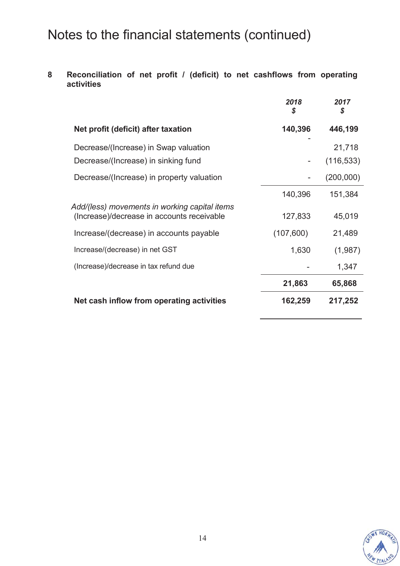**8 Reconciliation of net profit / (deficit) to net cashflows from operating activities** 

|                                                                                             | 2018<br>\$ | 2017<br>\$           |
|---------------------------------------------------------------------------------------------|------------|----------------------|
| Net profit (deficit) after taxation                                                         | 140,396    | 446,199              |
| Decrease/(Increase) in Swap valuation<br>Decrease/(Increase) in sinking fund                |            | 21,718<br>(116, 533) |
| Decrease/(Increase) in property valuation                                                   |            | (200,000)            |
|                                                                                             | 140,396    | 151,384              |
| Add/(less) movements in working capital items<br>(Increase)/decrease in accounts receivable | 127,833    | 45,019               |
| Increase/(decrease) in accounts payable                                                     | (107,600)  | 21,489               |
| Increase/(decrease) in net GST                                                              | 1,630      | (1,987)              |
| (Increase)/decrease in tax refund due                                                       |            | 1,347                |
|                                                                                             | 21,863     | 65,868               |
| Net cash inflow from operating activities                                                   | 162,259    | 217,252              |

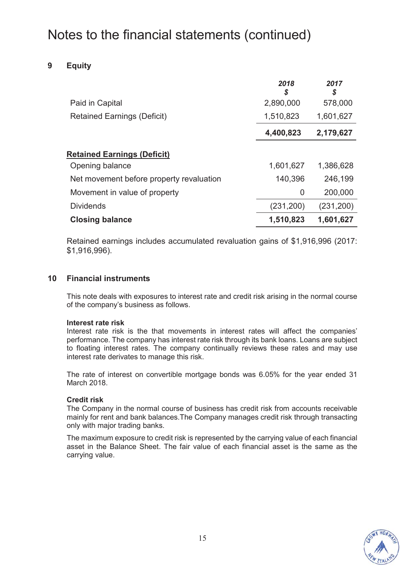### **9 Equity**

|                                          | 2018<br>\$ | 2017<br>\$ |
|------------------------------------------|------------|------------|
| Paid in Capital                          | 2,890,000  | 578,000    |
| <b>Retained Earnings (Deficit)</b>       | 1,510,823  | 1,601,627  |
|                                          | 4,400,823  | 2,179,627  |
| <b>Retained Earnings (Deficit)</b>       |            |            |
| Opening balance                          | 1,601,627  | 1,386,628  |
| Net movement before property revaluation | 140,396    | 246,199    |
| Movement in value of property            | 0          | 200,000    |
| <b>Dividends</b>                         | (231, 200) | (231, 200) |
| <b>Closing balance</b>                   | 1,510,823  | 1,601,627  |

 Retained earnings includes accumulated revaluation gains of \$1,916,996 (2017: \$1,916,996).

### **10 Financial instruments**

This note deals with exposures to interest rate and credit risk arising in the normal course of the company's business as follows.

#### **Interest rate risk**

Interest rate risk is the that movements in interest rates will affect the companies' performance. The company has interest rate risk through its bank loans. Loans are subject to floating interest rates. The company continually reviews these rates and may use interest rate derivates to manage this risk.

The rate of interest on convertible mortgage bonds was 6.05% for the year ended 31 March 2018.

#### **Credit risk**

The Company in the normal course of business has credit risk from accounts receivable mainly for rent and bank balances.The Company manages credit risk through transacting only with major trading banks.

 The maximum exposure to credit risk is represented by the carrying value of each financial asset in the Balance Sheet. The fair value of each financial asset is the same as the carrying value.

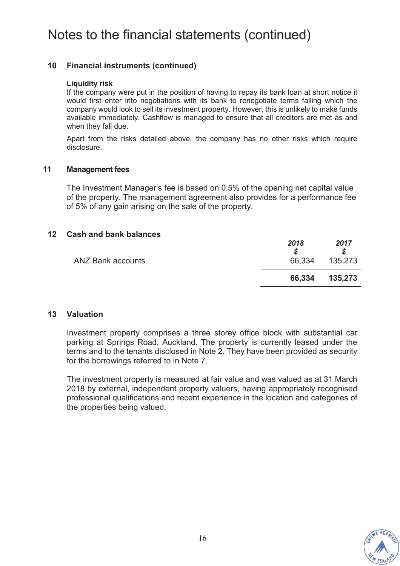### **10 Financial instruments (continued)**

#### **Liquidity risk**

 If the company were put in the position of having to repay its bank loan at short notice it would first enter into negotiations with its bank to renegotiate terms failing which the company would look to sell its investment property. However, this is unlikely to make funds available immediately. Cashflow is managed to ensure that all creditors are met as and when they fall due.

Apart from the risks detailed above, the company has no other risks which require disclosure.

#### **11 Management fees**

The Investment Manager's fee is based on 0.5% of the opening net capital value of the property. The management agreement also provides for a performance fee of 5% of any gain arising on the sale of the property.

#### **12 Cash and bank balances**

|                   | 66,334 | 135,273   |
|-------------------|--------|-----------|
| ANZ Bank accounts | 66,334 | 135,273   |
|                   | 2018   | 2017<br>S |

### **13 Valuation**

 Investment property comprises a three storey office block with substantial car parking at Springs Road, Auckland. The property is currently leased under the terms and to the tenants disclosed in Note 2. They have been provided as security for the borrowings referred to in Note 7.

 The investment property is measured at fair value and was valued as at 31 March 2018 by external, independent property valuers, having appropriately recognised professional qualifications and recent experience in the location and categories of the properties being valued.

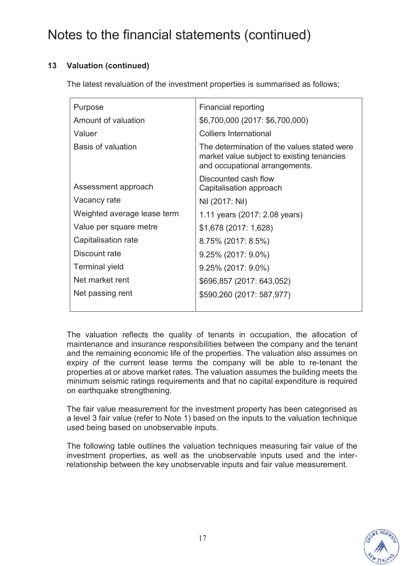# **13 Valuation (continued)**

The latest revaluation of the investment properties is summarised as follows;

| Purpose                     | Financial reporting                                                                                                         |
|-----------------------------|-----------------------------------------------------------------------------------------------------------------------------|
| Amount of valuation         | \$6,700,000 (2017: \$6,700,000)                                                                                             |
| Valuer                      | <b>Colliers International</b>                                                                                               |
| Basis of valuation          | The determination of the values stated were<br>market value subject to existing tenancies<br>and occupational arrangements. |
| Assessment approach         | Discounted cash flow<br>Capitalisation approach                                                                             |
| Vacancy rate                | Nil (2017: Nil)                                                                                                             |
| Weighted average lease term | 1.11 years (2017: 2.08 years)                                                                                               |
| Value per square metre      | \$1,678 (2017: 1,628)                                                                                                       |
| Capitalisation rate         | 8.75% (2017: 8.5%)                                                                                                          |
| Discount rate               | $9.25\%$ (2017: $9.0\%$ )                                                                                                   |
| <b>Terminal yield</b>       | $9.25\%$ (2017: $9.0\%$ )                                                                                                   |
| Net market rent             | \$696,857 (2017: 643,052)                                                                                                   |
| Net passing rent            | \$590,260 (2017: 587,977)                                                                                                   |
|                             |                                                                                                                             |

 The valuation reflects the quality of tenants in occupation, the allocation of maintenance and insurance responsibilities between the company and the tenant and the remaining economic life of the properties. The valuation also assumes on expiry of the current lease terms the company will be able to re-tenant the properties at or above market rates. The valuation assumes the building meets the minimum seismic ratings requirements and that no capital expenditure is required on earthquake strengthening.

 The fair value measurement for the investment property has been categorised as a level 3 fair value (refer to Note 1) based on the inputs to the valuation technique used being based on unobservable inputs.

The following table outlines the valuation techniques measuring fair value of the investment properties, as well as the unobservable inputs used and the interrelationship between the key unobservable inputs and fair value measurement.

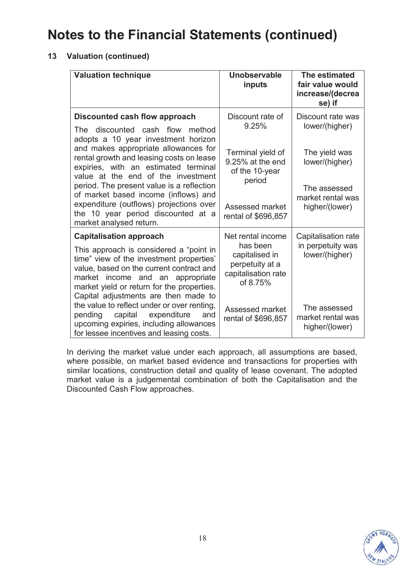### **13 Valuation (continued)**

| <b>Valuation technique</b>                                                                                                                                                                                             | Unobservable<br>inputs                                                           | The estimated<br>fair value would<br>increase/(decrea<br>se) if |
|------------------------------------------------------------------------------------------------------------------------------------------------------------------------------------------------------------------------|----------------------------------------------------------------------------------|-----------------------------------------------------------------|
| Discounted cash flow approach                                                                                                                                                                                          | Discount rate of                                                                 | Discount rate was                                               |
| The discounted cash flow method<br>adopts a 10 year investment horizon                                                                                                                                                 | 9.25%                                                                            | lower/(higher)                                                  |
| and makes appropriate allowances for<br>rental growth and leasing costs on lease<br>expiries, with an estimated terminal                                                                                               | Terminal yield of<br>$9.25%$ at the end<br>of the 10-year                        | The yield was<br>lower/(higher)                                 |
| value at the end of the investment<br>period. The present value is a reflection<br>of market based income (inflows) and<br>expenditure (outflows) projections over                                                     | period                                                                           | The assessed<br>market rental was                               |
| the 10 year period discounted at a<br>market analysed return.                                                                                                                                                          | Assessed market<br>rental of \$696,857                                           | higher/(lower)                                                  |
| <b>Capitalisation approach</b>                                                                                                                                                                                         | Net rental income                                                                | Capitalisation rate                                             |
| This approach is considered a "point in<br>time" view of the investment properties'<br>value, based on the current contract and<br>market income and an appropriate<br>market yield or return for the properties.      | has been<br>capitalised in<br>perpetuity at a<br>capitalisation rate<br>of 8.75% | in perpetuity was<br>lower/(higher)                             |
| Capital adjustments are then made to<br>the value to reflect under or over renting,<br>capital<br>expenditure<br>pending<br>and<br>upcoming expiries, including allowances<br>for lessee incentives and leasing costs. | Assessed market<br>rental of \$696,857                                           | The assessed<br>market rental was<br>higher/(lower)             |

 In deriving the market value under each approach, all assumptions are based, where possible, on market based evidence and transactions for properties with similar locations, construction detail and quality of lease covenant. The adopted market value is a judgemental combination of both the Capitalisation and the Discounted Cash Flow approaches.

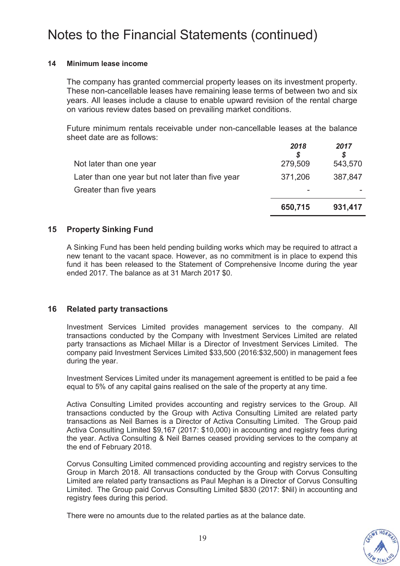#### **14 Minimum lease income**

 The company has granted commercial property leases on its investment property. These non-cancellable leases have remaining lease terms of between two and six years. All leases include a clause to enable upward revision of the rental charge on various review dates based on prevailing market conditions.

 Future minimum rentals receivable under non-cancellable leases at the balance sheet date are as follows:

| Not later than one year                          | 2018<br>279,509 | 2017<br>S<br>543,570 |
|--------------------------------------------------|-----------------|----------------------|
| Later than one year but not later than five year | 371,206         | 387,847              |
| Greater than five years                          |                 |                      |
|                                                  | 650,715         | 931,417              |

### **15 Property Sinking Fund**

A Sinking Fund has been held pending building works which may be required to attract a new tenant to the vacant space. However, as no commitment is in place to expend this fund it has been released to the Statement of Comprehensive Income during the year ended 2017. The balance as at 31 March 2017 \$0.

### **16 Related party transactions**

Investment Services Limited provides management services to the company. All transactions conducted by the Company with Investment Services Limited are related party transactions as Michael Millar is a Director of Investment Services Limited. The company paid Investment Services Limited \$33,500 (2016:\$32,500) in management fees during the year.

 Investment Services Limited under its management agreement is entitled to be paid a fee equal to 5% of any capital gains realised on the sale of the property at any time.

 Activa Consulting Limited provides accounting and registry services to the Group. All transactions conducted by the Group with Activa Consulting Limited are related party transactions as Neil Barnes is a Director of Activa Consulting Limited. The Group paid Activa Consulting Limited \$9,167 (2017: \$10,000) in accounting and registry fees during the year. Activa Consulting & Neil Barnes ceased providing services to the company at the end of February 2018.

 Corvus Consulting Limited commenced providing accounting and registry services to the Group in March 2018. All transactions conducted by the Group with Corvus Consulting Limited are related party transactions as Paul Mephan is a Director of Corvus Consulting Limited. The Group paid Corvus Consulting Limited \$830 (2017: \$Nil) in accounting and registry fees during this period.

There were no amounts due to the related parties as at the balance date.

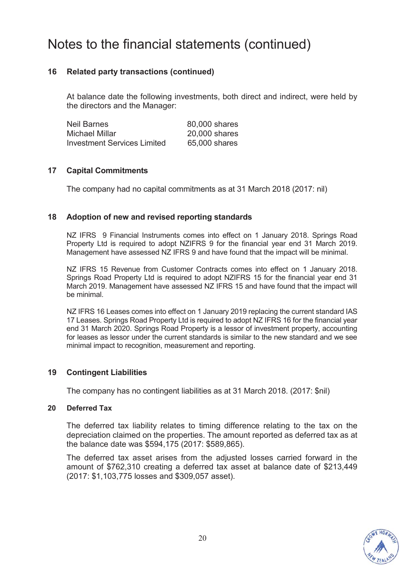### **16 Related party transactions (continued)**

 At balance date the following investments, both direct and indirect, were held by the directors and the Manager:

| <b>Neil Barnes</b>                 | 80,000 shares |
|------------------------------------|---------------|
| <b>Michael Millar</b>              | 20,000 shares |
| <b>Investment Services Limited</b> | 65,000 shares |

### **17 Capital Commitments**

The company had no capital commitments as at 31 March 2018 (2017: nil)

#### **18 Adoption of new and revised reporting standards**

NZ IFRS 9 Financial Instruments comes into effect on 1 January 2018. Springs Road Property Ltd is required to adopt NZIFRS 9 for the financial year end 31 March 2019. Management have assessed NZ IFRS 9 and have found that the impact will be minimal.

NZ IFRS 15 Revenue from Customer Contracts comes into effect on 1 January 2018. Springs Road Property Ltd is required to adopt NZIFRS 15 for the financial year end 31 March 2019. Management have assessed NZ IFRS 15 and have found that the impact will be minimal.

NZ IFRS 16 Leases comes into effect on 1 January 2019 replacing the current standard IAS 17 Leases. Springs Road Property Ltd is required to adopt NZ IFRS 16 for the financial year end 31 March 2020. Springs Road Property is a lessor of investment property, accounting for leases as lessor under the current standards is similar to the new standard and we see minimal impact to recognition, measurement and reporting.

### **19 Contingent Liabilities**

The company has no contingent liabilities as at 31 March 2018. (2017: \$nil)

#### **20 Deferred Tax**

The deferred tax liability relates to timing difference relating to the tax on the depreciation claimed on the properties. The amount reported as deferred tax as at the balance date was \$594,175 (2017: \$589,865).

The deferred tax asset arises from the adjusted losses carried forward in the amount of \$762,310 creating a deferred tax asset at balance date of \$213,449 (2017: \$1,103,775 losses and \$309,057 asset).

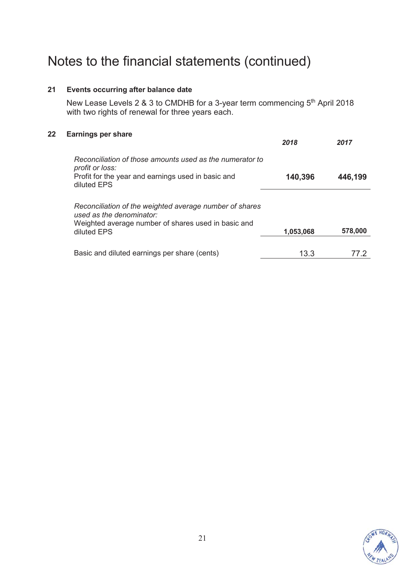### **21 Events occurring after balance date**

New Lease Levels 2 & 3 to CMDHB for a 3-year term commencing 5th April 2018 with two rights of renewal for three years each.

#### **22 Earnings per share**

|                                                                                                                                                           | 2018      | 2017    |
|-----------------------------------------------------------------------------------------------------------------------------------------------------------|-----------|---------|
| Reconciliation of those amounts used as the numerator to<br>profit or loss:<br>Profit for the year and earnings used in basic and<br>diluted EPS          | 140,396   | 446,199 |
| Reconciliation of the weighted average number of shares<br>used as the denominator:<br>Weighted average number of shares used in basic and<br>diluted EPS | 1,053,068 | 578,000 |
| Basic and diluted earnings per share (cents)                                                                                                              | 13.3      | 77.2    |

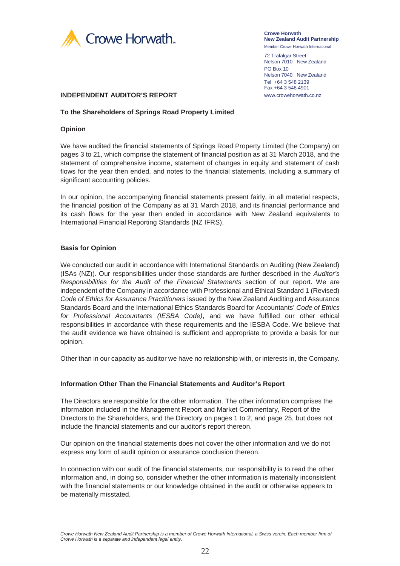

**Crowe Horwath New Zealand Audit Partnership** Member Crowe Horwath International

72 Trafalgar Street Nelson 7010 New Zealand PO Box 10 Nelson 7040 New Zealand Tel +64 3 548 2139 Fax +64 3 548 4901 www.crowehorwath.co.nz

#### **INDEPENDENT AUDITOR'S REPORT**

**To the Shareholders of Springs Road Property Limited** 

#### **Opinion**

We have audited the financial statements of Springs Road Property Limited (the Company) on pages 3 to 21, which comprise the statement of financial position as at 31 March 2018, and the statement of comprehensive income, statement of changes in equity and statement of cash flows for the year then ended, and notes to the financial statements, including a summary of significant accounting policies.

In our opinion, the accompanying financial statements present fairly, in all material respects, the financial position of the Company as at 31 March 2018, and its financial performance and its cash flows for the year then ended in accordance with New Zealand equivalents to International Financial Reporting Standards (NZ IFRS).

#### **Basis for Opinion**

We conducted our audit in accordance with International Standards on Auditing (New Zealand) (ISAs (NZ)). Our responsibilities under those standards are further described in the *Auditor's Responsibilities for the Audit of the Financial Statements* section of our report. We are independent of the Company in accordance with Professional and Ethical Standard 1 (Revised) *Code of Ethics for Assurance Practitioners* issued by the New Zealand Auditing and Assurance Standards Board and the International Ethics Standards Board for Accountants' *Code of Ethics for Professional Accountants (IESBA Code)*, and we have fulfilled our other ethical responsibilities in accordance with these requirements and the IESBA Code. We believe that the audit evidence we have obtained is sufficient and appropriate to provide a basis for our opinion.

Other than in our capacity as auditor we have no relationship with, or interests in, the Company.

#### **Information Other Than the Financial Statements and Auditor's Report**

The Directors are responsible for the other information. The other information comprises the information included in the Management Report and Market Commentary, Report of the Directors to the Shareholders, and the Directory on pages 1 to 2, and page 25, but does not include the financial statements and our auditor's report thereon.

Our opinion on the financial statements does not cover the other information and we do not express any form of audit opinion or assurance conclusion thereon.

In connection with our audit of the financial statements, our responsibility is to read the other information and, in doing so, consider whether the other information is materially inconsistent with the financial statements or our knowledge obtained in the audit or otherwise appears to be materially misstated.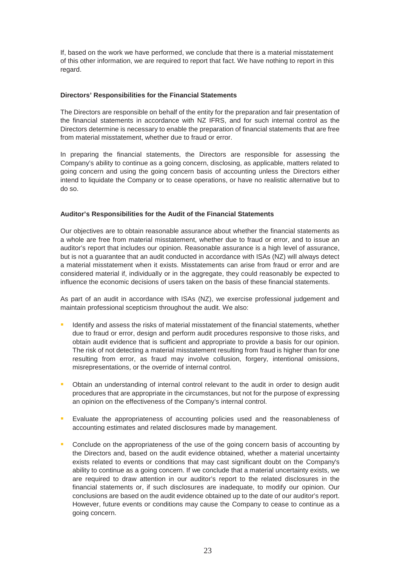If, based on the work we have performed, we conclude that there is a material misstatement of this other information, we are required to report that fact. We have nothing to report in this regard.

#### **Directors' Responsibilities for the Financial Statements**

The Directors are responsible on behalf of the entity for the preparation and fair presentation of the financial statements in accordance with NZ IFRS, and for such internal control as the Directors determine is necessary to enable the preparation of financial statements that are free from material misstatement, whether due to fraud or error.

In preparing the financial statements, the Directors are responsible for assessing the Company's ability to continue as a going concern, disclosing, as applicable, matters related to going concern and using the going concern basis of accounting unless the Directors either intend to liquidate the Company or to cease operations, or have no realistic alternative but to do so.

#### **Auditor's Responsibilities for the Audit of the Financial Statements**

Our objectives are to obtain reasonable assurance about whether the financial statements as a whole are free from material misstatement, whether due to fraud or error, and to issue an auditor's report that includes our opinion. Reasonable assurance is a high level of assurance, but is not a guarantee that an audit conducted in accordance with ISAs (NZ) will always detect a material misstatement when it exists. Misstatements can arise from fraud or error and are considered material if, individually or in the aggregate, they could reasonably be expected to influence the economic decisions of users taken on the basis of these financial statements.

As part of an audit in accordance with ISAs (NZ), we exercise professional judgement and maintain professional scepticism throughout the audit. We also:

- Identify and assess the risks of material misstatement of the financial statements, whether due to fraud or error, design and perform audit procedures responsive to those risks, and obtain audit evidence that is sufficient and appropriate to provide a basis for our opinion. The risk of not detecting a material misstatement resulting from fraud is higher than for one resulting from error, as fraud may involve collusion, forgery, intentional omissions, misrepresentations, or the override of internal control.
- Obtain an understanding of internal control relevant to the audit in order to design audit procedures that are appropriate in the circumstances, but not for the purpose of expressing an opinion on the effectiveness of the Company's internal control.
- Evaluate the appropriateness of accounting policies used and the reasonableness of accounting estimates and related disclosures made by management.
- Conclude on the appropriateness of the use of the going concern basis of accounting by the Directors and, based on the audit evidence obtained, whether a material uncertainty exists related to events or conditions that may cast significant doubt on the Company's ability to continue as a going concern. If we conclude that a material uncertainty exists, we are required to draw attention in our auditor's report to the related disclosures in the financial statements or, if such disclosures are inadequate, to modify our opinion. Our conclusions are based on the audit evidence obtained up to the date of our auditor's report. However, future events or conditions may cause the Company to cease to continue as a going concern.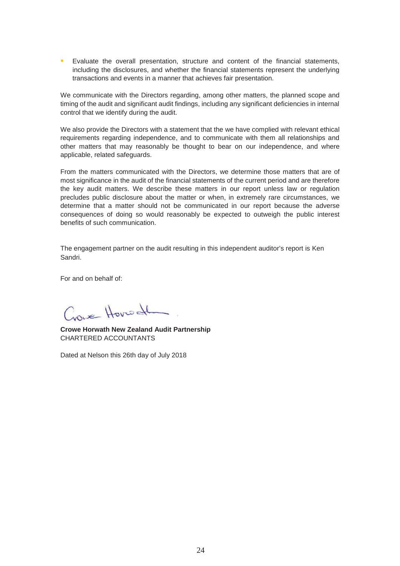**E**valuate the overall presentation, structure and content of the financial statements, including the disclosures, and whether the financial statements represent the underlying transactions and events in a manner that achieves fair presentation.

We communicate with the Directors regarding, among other matters, the planned scope and timing of the audit and significant audit findings, including any significant deficiencies in internal control that we identify during the audit.

We also provide the Directors with a statement that the we have complied with relevant ethical requirements regarding independence, and to communicate with them all relationships and other matters that may reasonably be thought to bear on our independence, and where applicable, related safeguards.

From the matters communicated with the Directors, we determine those matters that are of most significance in the audit of the financial statements of the current period and are therefore the key audit matters. We describe these matters in our report unless law or regulation precludes public disclosure about the matter or when, in extremely rare circumstances, we determine that a matter should not be communicated in our report because the adverse consequences of doing so would reasonably be expected to outweigh the public interest benefits of such communication.

The engagement partner on the audit resulting in this independent auditor's report is Ken Sandri.

For and on behalf of:

Croise Horsett

**Crowe Horwath New Zealand Audit Partnership**  CHARTERED ACCOUNTANTS

Dated at Nelson this 26th day of July 2018